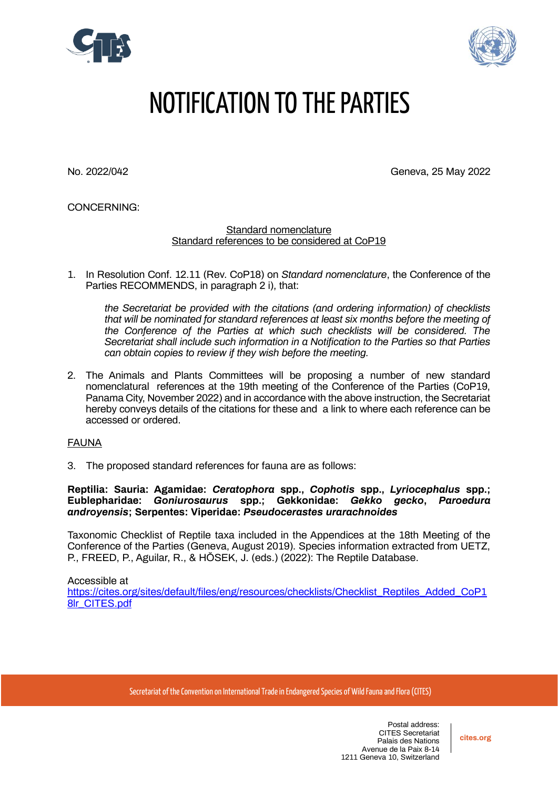



# NOTIFICATION TO THE PARTIES

No. 2022/042 Geneva, 25 May 2022

CONCERNING:

Standard nomenclature Standard references to be considered at CoP19

1. In Resolution Conf. 12.11 (Rev. CoP18) on *Standard nomenclature*, the Conference of the Parties RECOMMENDS, in paragraph 2 i), that:

*the Secretariat be provided with the citations (and ordering information) of checklists that will be nominated for standard references at least six months before the meeting of the Conference of the Parties at which such checklists will be considered. The Secretariat shall include such information in a Notification to the Parties so that Parties can obtain copies to review if they wish before the meeting.*

2. The Animals and Plants Committees will be proposing a number of new standard nomenclatural references at the 19th meeting of the Conference of the Parties (CoP19, Panama City, November 2022) and in accordance with the above instruction, the Secretariat hereby conveys details of the citations for these and a link to where each reference can be accessed or ordered.

## FAUNA

3. The proposed standard references for fauna are as follows:

**Reptilia: Sauria: Agamidae:** *Ceratophora* **spp.,** *Cophotis* **spp.,** *Lyriocephalus* **spp.; Eublepharidae:** *Goniurosaurus* **spp.; Gekkonidae:** *Gekko gecko***,** *Paroedura androyensis***; Serpentes: Viperidae:** *Pseudocerastes urarachnoides*

Taxonomic Checklist of Reptile taxa included in the Appendices at the 18th Meeting of the Conference of the Parties (Geneva, August 2019). Species information extracted from UETZ, P., FREED, P., Aguilar, R., & HŎSEK, J. (eds.) (2022): The Reptile Database.

Accessible at [https://cites.org/sites/default/files/eng/resources/checklists/Checklist\\_Reptiles\\_Added\\_CoP1](https://cites.org/sites/default/files/eng/resources/checklists/Checklist_Reptiles_Added_CoP18lr_CITES.pdf) [8lr\\_CITES.pdf](https://cites.org/sites/default/files/eng/resources/checklists/Checklist_Reptiles_Added_CoP18lr_CITES.pdf)

Secretariat of the Convention on International Trade in Endangered Species of Wild Fauna and Flora (CITES)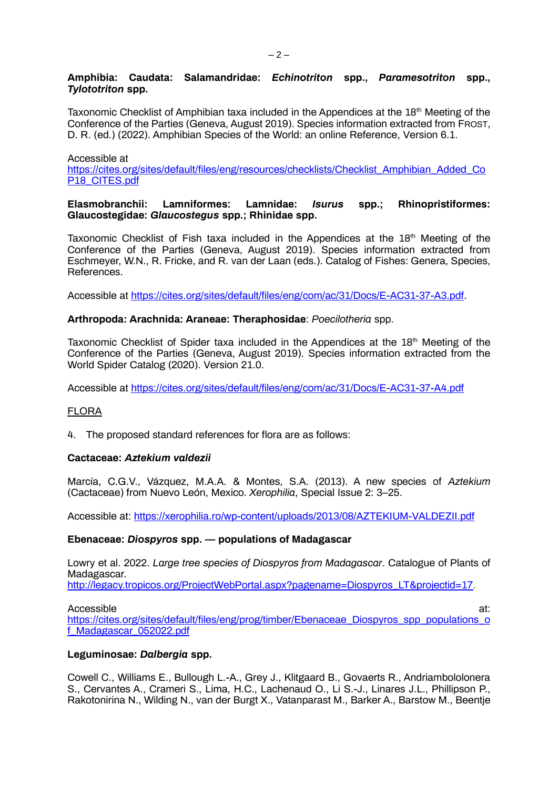## **Amphibia: Caudata: Salamandridae:** *Echinotriton* **spp.,** *Paramesotriton* **spp.,** *Tylototriton* **spp.**

Taxonomic Checklist of Amphibian taxa included in the Appendices at the  $18<sup>th</sup>$  Meeting of the Conference of the Parties (Geneva, August 2019). Species information extracted from FROST, D. R. (ed.) (2022). Amphibian Species of the World: an online Reference, Version 6.1.

Accessible at

[https://cites.org/sites/default/files/eng/resources/checklists/Checklist\\_Amphibian\\_Added\\_Co](https://cites.org/sites/default/files/eng/resources/checklists/Checklist_Amphibian_Added_CoP18_CITES.pdf) P<sub>18</sub> CITES.pdf

## **Elasmobranchii: Lamniformes: Lamnidae:** *Isurus* **spp.; Rhinopristiformes: Glaucostegidae:** *Glaucostegus* **spp.; Rhinidae spp.**

Taxonomic Checklist of Fish taxa included in the Appendices at the  $18<sup>th</sup>$  Meeting of the Conference of the Parties (Geneva, August 2019). Species information extracted from Eschmeyer, W.N., R. Fricke, and R. van der Laan (eds.). Catalog of Fishes: Genera, Species, References.

Accessible at [https://cites.org/sites/default/files/eng/com/ac/31/Docs/E-AC31-37-A3.pdf.](https://cites.org/sites/default/files/eng/com/ac/31/Docs/E-AC31-37-A3.pdf)

## **Arthropoda: Arachnida: Araneae: Theraphosidae**: *Poecilotheria* spp.

Taxonomic Checklist of Spider taxa included in the Appendices at the 18<sup>th</sup> Meeting of the Conference of the Parties (Geneva, August 2019). Species information extracted from the World Spider Catalog (2020). Version 21.0.

Accessible at<https://cites.org/sites/default/files/eng/com/ac/31/Docs/E-AC31-37-A4.pdf>

## FLORA

4. The proposed standard references for flora are as follows:

## **Cactaceae:** *Aztekium valdezii*

Marcía, C.G.V., Vázquez, M.A.A. & Montes, S.A. (2013). A new species of *Aztekium* (Cactaceae) from Nuevo León, Mexico. *Xerophilia*, Special Issue 2: 3–25.

Accessible at:<https://xerophilia.ro/wp-content/uploads/2013/08/AZTEKIUM-VALDEZII.pdf>

## **Ebenaceae:** *Diospyros* **spp. — populations of Madagascar**

Lowry et al. 2022. *Large tree species of Diospyros from Madagascar*. Catalogue of Plants of Madagascar. [http://legacy.tropicos.org/ProjectWebPortal.aspx?pagename=Diospyros\\_LT&projectid=17.](http://legacy.tropicos.org/ProjectWebPortal.aspx?pagename=Diospyros_LT&projectid=17)

Accessible at:  $\overline{a}$  at: [https://cites.org/sites/default/files/eng/prog/timber/Ebenaceae\\_Diospyros\\_spp\\_populations\\_o](https://cites.org/sites/default/files/eng/prog/timber/Ebenaceae_Diospyros_spp_populations_of_Madagascar_052022.pdf) [f\\_Madagascar\\_052022.pdf](https://cites.org/sites/default/files/eng/prog/timber/Ebenaceae_Diospyros_spp_populations_of_Madagascar_052022.pdf)

## **Leguminosae:** *Dalbergia* **spp.**

Cowell C., Williams E., Bullough L.-A., Grey J., Klitgaard B., Govaerts R., Andriambololonera S., Cervantes A., Crameri S., Lima, H.C., Lachenaud O., Li S.-J., Linares J.L., Phillipson P., Rakotonirina N., Wilding N., van der Burgt X., Vatanparast M., Barker A., Barstow M., Beentje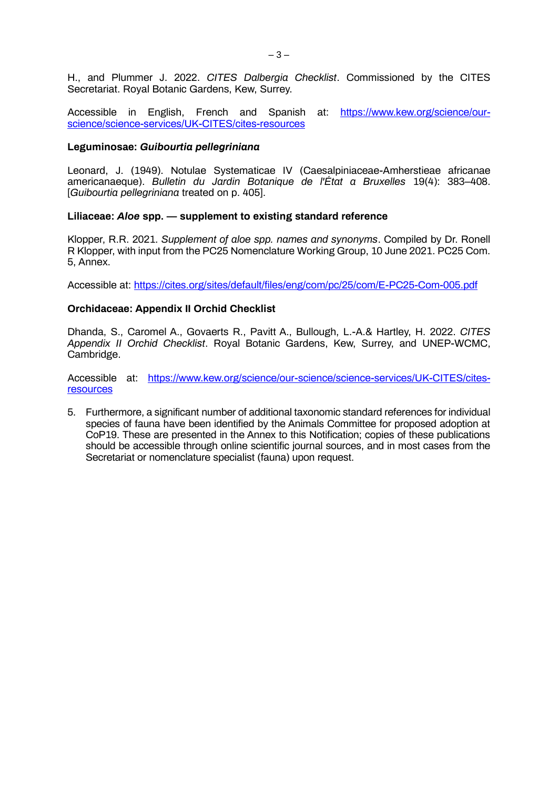H., and Plummer J. 2022. *CITES Dalbergia Checklist*. Commissioned by the CITES Secretariat. Royal Botanic Gardens, Kew, Surrey.

Accessible in English, French and Spanish at: [https://www.kew.org/science/our](https://www.kew.org/science/our-science/science-services/UK-CITES/cites-resources)[science/science-services/UK-CITES/cites-resources](https://www.kew.org/science/our-science/science-services/UK-CITES/cites-resources)

#### **Leguminosae:** *Guibourtia pellegriniana*

Leonard, J. (1949). Notulae Systematicae IV (Caesalpiniaceae-Amherstieae africanae americanaeque). *Bulletin du Jardin Botanique de l'État a Bruxelles* 19(4): 383–408. [*Guibourtia pellegriniana* treated on p. 405].

## **Liliaceae:** *Aloe* **spp. — supplement to existing standard reference**

Klopper, R.R. 2021. *Supplement of aloe spp. names and synonyms*. Compiled by Dr. Ronell R Klopper, with input from the PC25 Nomenclature Working Group, 10 June 2021. PC25 Com. 5, Annex.

Accessible at:<https://cites.org/sites/default/files/eng/com/pc/25/com/E-PC25-Com-005.pdf>

## **Orchidaceae: Appendix II Orchid Checklist**

Dhanda, S., Caromel A., Govaerts R., Pavitt A., Bullough, L.-A.& Hartley, H. 2022. *CITES Appendix II Orchid Checklist*. Royal Botanic Gardens, Kew, Surrey, and UNEP-WCMC, Cambridge.

Accessible at: [https://www.kew.org/science/our-science/science-services/UK-CITES/cites](https://www.kew.org/science/our-science/science-services/UK-CITES/cites-resources)[resources](https://www.kew.org/science/our-science/science-services/UK-CITES/cites-resources)

5. Furthermore, a significant number of additional taxonomic standard references for individual species of fauna have been identified by the Animals Committee for proposed adoption at CoP19. These are presented in the Annex to this Notification; copies of these publications should be accessible through online scientific journal sources, and in most cases from the Secretariat or nomenclature specialist (fauna) upon request.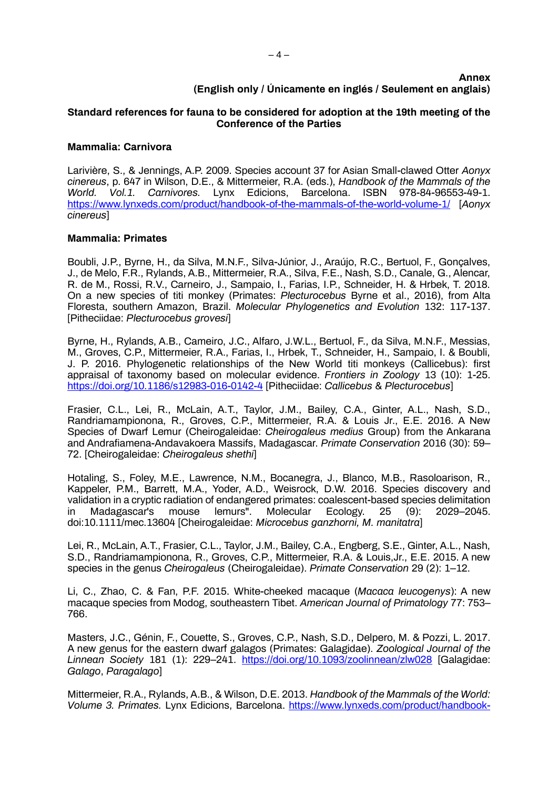## **Annex (English only / Únicamente en inglés / Seulement en anglais)**

## **Standard references for fauna to be considered for adoption at the 19th meeting of the Conference of the Parties**

#### **Mammalia: Carnivora**

Larivière, S., & Jennings, A.P. 2009. Species account 37 for Asian Small-clawed Otter *Aonyx cinereus*, p. 647 in Wilson, D.E., & Mittermeier, R.A. (eds.), *Handbook of the Mammals of the*  Barcelona. ISBN 978-84-96553-49-1. <https://www.lynxeds.com/product/handbook-of-the-mammals-of-the-world-volume-1/> [*Aonyx cinereus*]

#### **Mammalia: Primates**

Boubli, J.P., Byrne, H., da Silva, M.N.F., Silva-Júnior, J., Araújo, R.C., Bertuol, F., Gonçalves, J., de Melo, F.R., Rylands, A.B., Mittermeier, R.A., Silva, F.E., Nash, S.D., Canale, G., Alencar, R. de M., Rossi, R.V., Carneiro, J., Sampaio, I., Farias, I.P., Schneider, H. & Hrbek, T. 2018. On a new species of titi monkey (Primates: *Plecturocebus* Byrne et al., 2016), from Alta Floresta, southern Amazon, Brazil. *Molecular Phylogenetics and Evolution* 132: 117-137. [Pitheciidae: *Plecturocebus grovesi*]

Byrne, H., Rylands, A.B., Cameiro, J.C., Alfaro, J.W.L., Bertuol, F., da Silva, M.N.F., Messias, M., Groves, C.P., Mittermeier, R.A., Farias, I., Hrbek, T., Schneider, H., Sampaio, I. & Boubli, J. P. 2016. Phylogenetic relationships of the New World titi monkeys (Callicebus): first appraisal of taxonomy based on molecular evidence. *Frontiers in Zoology* 13 (10): 1-25. <https://doi.org/10.1186/s12983-016-0142-4> [Pitheciidae: *Callicebus* & *Plecturocebus*]

Frasier, C.L., Lei, R., McLain, A.T., Taylor, J.M., Bailey, C.A., Ginter, A.L., Nash, S.D., Randriamampionona, R., Groves, C.P., Mittermeier, R.A. & Louis Jr., E.E. 2016. A New Species of Dwarf Lemur (Cheirogaleidae: *Cheirogaleus medius* Group) from the Ankarana and Andrafiamena-Andavakoera Massifs, Madagascar. *Primate Conservation* 2016 (30): 59– 72. [Cheirogaleidae: *Cheirogaleus shethi*]

Hotaling, S., Foley, M.E., Lawrence, N.M., Bocanegra, J., Blanco, M.B., Rasoloarison, R., Kappeler, P.M., Barrett, M.A., Yoder, A.D., Weisrock, D.W. 2016. Species discovery and validation in a cryptic radiation of endangered primates: coalescent-based species delimitation<br>in Madagascar's mouse lemurs". Molecular Ecology. 25 (9): 2029–2045. in Madagascar's mouse lemurs". Molecular Ecology. 25 (9): 2029–2045. doi:10.1111/mec.13604 [Cheirogaleidae: *Microcebus ganzhorni, M. manitatra*]

Lei, R., McLain, A.T., Frasier, C.L., Taylor, J.M., Bailey, C.A., Engberg, S.E., Ginter, A.L., Nash, S.D., Randriamampionona, R., Groves, C.P., Mittermeier, R.A. & Louis,Jr., E.E. 2015. A new species in the genus *Cheirogaleus* (Cheirogaleidae). *Primate Conservation* 29 (2): 1–12.

Li, C., Zhao, C. & Fan, P.F. 2015. White-cheeked macaque (*Macaca leucogenys*): A new macaque species from Modog, southeastern Tibet. *American Journal of Primatology* 77: 753– 766.

Masters, J.C., Génin, F., Couette, S., Groves, C.P., Nash, S.D., Delpero, M. & Pozzi, L. 2017. A new genus for the eastern dwarf galagos (Primates: Galagidae). *Zoological Journal of the Linnean Society* 181 (1): 229–241. <https://doi.org/10.1093/zoolinnean/zlw028> [Galagidae: *Galago*, *Paragalago*]

Mittermeier, R.A., Rylands, A.B., & Wilson, D.E. 2013. *Handbook of the Mammals of the World: Volume 3. Primates.* Lynx Edicions, Barcelona. [https://www.lynxeds.com/product/handbook-](https://www.lynxeds.com/product/handbook-of-the-mammals-of-the-world-volume-3/)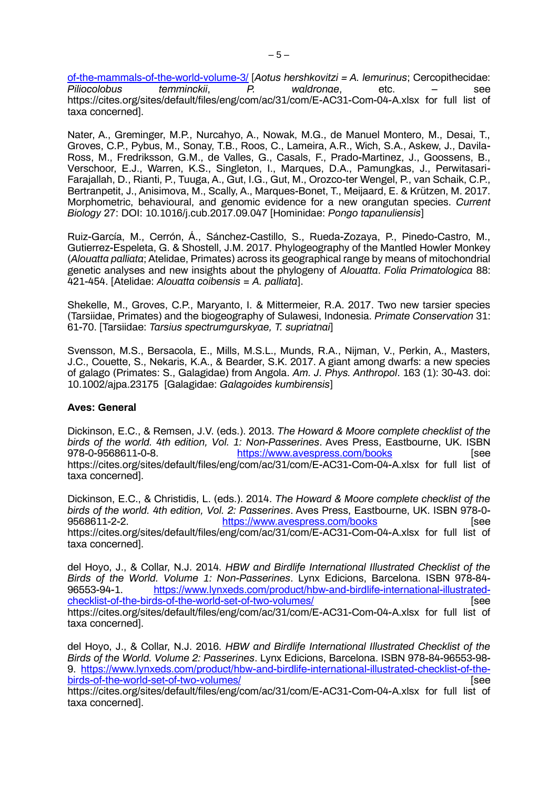[of-the-mammals-of-the-world-volume-3/](https://www.lynxeds.com/product/handbook-of-the-mammals-of-the-world-volume-3/) [*Aotus hershkovitzi = A. lemurinus*; Cercopithecidae:  $Piliocolobus$ https://cites.org/sites/default/files/eng/com/ac/31/com/E-AC31-Com-04-A.xlsx for full list of taxa concerned].

Nater, A., Greminger, M.P., Nurcahyo, A., Nowak, M.G., de Manuel Montero, M., Desai, T., Groves, C.P., Pybus, M., Sonay, T.B., Roos, C., Lameira, A.R., Wich, S.A., Askew, J., Davila-Ross, M., Fredriksson, G.M., de Valles, G., Casals, F., Prado-Martinez, J., Goossens, B., Verschoor, E.J., Warren, K.S., Singleton, I., Marques, D.A., Pamungkas, J., Perwitasari-Farajallah, D., Rianti, P., Tuuga, A., Gut, I.G., Gut, M., Orozco-ter Wengel, P., van Schaik, C.P., Bertranpetit, J., Anisimova, M., Scally, A., Marques-Bonet, T., Meijaard, E. & Krützen, M. 2017. Morphometric, behavioural, and genomic evidence for a new orangutan species. *Current Biology* 27: DOI: 10.1016/j.cub.2017.09.047 [Hominidae: *Pongo tapanuliensis*]

Ruiz-García, M., Cerrón, Á., Sánchez-Castillo, S., Rueda-Zozaya, P., Pinedo-Castro, M., Gutierrez-Espeleta, G. & Shostell, J.M. 2017. Phylogeography of the Mantled Howler Monkey (*Alouatta palliata*; Atelidae, Primates) across its geographical range by means of mitochondrial genetic analyses and new insights about the phylogeny of *Alouatta*. *Folia Primatologica* 88: 421-454. [Atelidae: *Alouatta coibensis* = *A. palliata*].

Shekelle, M., Groves, C.P., Maryanto, I. & Mittermeier, R.A. 2017. Two new tarsier species (Tarsiidae, Primates) and the biogeography of Sulawesi, Indonesia. *Primate Conservation* 31: 61-70. [Tarsiidae: *Tarsius spectrumgurskyae, T. supriatnai*]

Svensson, M.S., Bersacola, E., Mills, M.S.L., Munds, R.A., Nijman, V., Perkin, A., Masters, J.C., Couette, S., Nekaris, K.A., & Bearder, S.K. 2017. A giant among dwarfs: a new species of galago (Primates: S., Galagidae) from Angola. *Am. J. Phys. Anthropol*. 163 (1): 30-43. doi: 10.1002/ajpa.23175 [Galagidae: *Galagoides kumbirensis*]

## **Aves: General**

Dickinson, E.C., & Remsen, J.V. (eds.). 2013. *The Howard & Moore complete checklist of the birds of the world. 4th edition, Vol. 1: Non-Passerines*. Aves Press, Eastbourne, UK. ISBN 978-0-9568611-0-8. <https://www.avespress.com/books> [see https://cites.org/sites/default/files/eng/com/ac/31/com/E-AC31-Com-04-A.xlsx for full list of taxa concerned].

Dickinson, E.C., & Christidis, L. (eds.). 2014. *The Howard & Moore complete checklist of the birds of the world. 4th edition, Vol. 2: Passerines*. Aves Press, Eastbourne, UK. ISBN 978-0 <https://www.avespress.com/books> [see https://cites.org/sites/default/files/eng/com/ac/31/com/E-AC31-Com-04-A.xlsx for full list of taxa concerned].

del Hoyo, J., & Collar, N.J. 2014. *HBW and Birdlife International Illustrated Checklist of the Birds of the World. Volume 1: Non-Passerines*. Lynx Edicions, Barcelona. ISBN 978-84 [https://www.lynxeds.com/product/hbw-and-birdlife-international-illustrated](https://www.lynxeds.com/product/hbw-and-birdlife-international-illustrated-checklist-of-the-birds-of-the-world-set-of-two-volumes/)[checklist-of-the-birds-of-the-world-set-of-two-volumes/](https://www.lynxeds.com/product/hbw-and-birdlife-international-illustrated-checklist-of-the-birds-of-the-world-set-of-two-volumes/) [see https://cites.org/sites/default/files/eng/com/ac/31/com/E-AC31-Com-04-A.xlsx for full list of taxa concerned].

del Hoyo, J., & Collar, N.J. 2016. *HBW and Birdlife International Illustrated Checklist of the Birds of the World. Volume 2: Passerines*. Lynx Edicions, Barcelona. ISBN 978-84-96553-98- 9. [https://www.lynxeds.com/product/hbw-and-birdlife-international-illustrated-checklist-of-the](https://www.lynxeds.com/product/hbw-and-birdlife-international-illustrated-checklist-of-the-birds-of-the-world-set-of-two-volumes/)[birds-of-the-world-set-of-two-volumes/](https://www.lynxeds.com/product/hbw-and-birdlife-international-illustrated-checklist-of-the-birds-of-the-world-set-of-two-volumes/) **[see**] [see https://cites.org/sites/default/files/eng/com/ac/31/com/E-AC31-Com-04-A.xlsx for full list of

taxa concerned].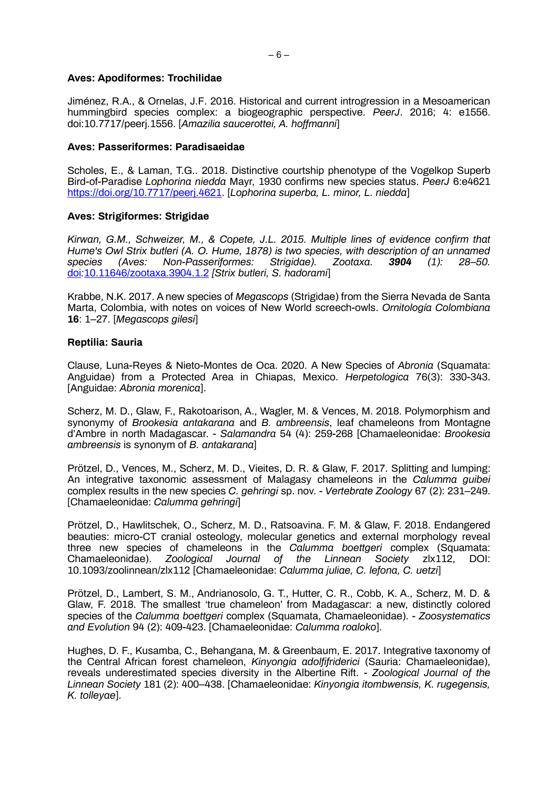#### **Aves: Apodiformes: Trochilidae**

Jiménez, R.A., & Ornelas, J.F. 2016. Historical and current introgression in a Mesoamerican hummingbird species complex: a biogeographic perspective. *PeerJ*. 2016; 4: e1556. doi:10.7717/peerj.1556. [*Amazilia saucerottei, A. hoffmanni*]

#### **Aves: Passeriformes: Paradisaeidae**

Scholes, E., & Laman, T.G.. 2018. Distinctive courtship phenotype of the Vogelkop Superb Bird-of-Paradise *Lophorina niedda* Mayr, 1930 confirms new species status. *PeerJ* 6:e4621 [https://doi.org/10.7717/peerj.4621.](https://doi.org/10.7717/peerj.4621) [*Lophorina superba, L. minor, L. niedda*]

## **Aves: Strigiformes: Strigidae**

*Kirwan, G.M., Schweizer, M., & Copete, J.L. 2015. Multiple lines of evidence confirm that Hume's Owl Strix butleri (A. O. Hume, 1878) is two species, with description of an unnamed species (Aves: Non-Passeriformes: Strigidae). Zootaxa. 3904 (1): 28–50.*  [doi](https://en.wikipedia.org/wiki/Doi_(identifier))*:*[10.11646/zootaxa.3904.1.2](https://doi.org/10.11646%2Fzootaxa.3904.1.2) *[Strix butleri, S. hadorami*]

Krabbe, N.K. 2017. A new species of *Megascops* (Strigidae) from the Sierra Nevada de Santa Marta, Colombia, with notes on voices of New World screech-owls. *Ornitología Colombiana* **16**: 1–27. [*Megascops gilesi*]

#### **Reptilia: Sauria**

Clause, Luna-Reyes & Nieto-Montes de Oca. 2020. A New Species of *Abronia* (Squamata: Anguidae) from a Protected Area in Chiapas, Mexico. *Herpetologica* 76(3): 330-343. [Anguidae: *Abronia morenica*].

Scherz, M. D., Glaw, F., Rakotoarison, A., Wagler, M. & Vences, M. 2018. Polymorphism and synonymy of *Brookesia antakarana* and *B. ambreensis*, leaf chameleons from Montagne d'Ambre in north Madagascar. - *Salamandra* 54 (4): 259-268 [Chamaeleonidae: *Brookesia ambreensis* is synonym of *B. antakarana*]

Prötzel, D., Vences, M., Scherz, M. D., Vieites, D. R. & Glaw, F. 2017. Splitting and lumping: An integrative taxonomic assessment of Malagasy chameleons in the *Calumma guibei* complex results in the new species *C. gehringi* sp. nov. - *Vertebrate Zoology* 67 (2): 231–249. [Chamaeleonidae: *Calumma gehringi*]

Prötzel, D., Hawlitschek, O., Scherz, M. D., Ratsoavina. F. M. & Glaw, F. 2018. Endangered beauties: micro-CT cranial osteology, molecular genetics and external morphology reveal three new species of chameleons in the *Calumma boettgeri* complex (Squamata: Chamaeleonidae). *Zoological Journal of the Linnean Society* zlx112, DOI: 10.1093/zoolinnean/zlx112 [Chamaeleonidae: *Calumma juliae, C. lefona, C. uetzi*]

Prötzel, D., Lambert, S. M., Andrianosolo, G. T., Hutter, C. R., Cobb, K. A., Scherz, M. D. & Glaw, F. 2018. The smallest 'true chameleon' from Madagascar: a new, distinctly colored species of the *Calumma boettgeri* complex (Squamata, Chamaeleonidae). - *Zoosystematics and Evolution* 94 (2): 409-423. [Chamaeleonidae: *Calumma roaloko*].

Hughes, D. F., Kusamba, C., Behangana, M. & Greenbaum, E. 2017. Integrative taxonomy of the Central African forest chameleon, *Kinyongia adolfifriderici* (Sauria: Chamaeleonidae), reveals underestimated species diversity in the Albertine Rift. - *Zoological Journal of the Linnean Society* 181 (2): 400–438. [Chamaeleonidae: *Kinyongia itombwensis, K. rugegensis, K. tolleyae*].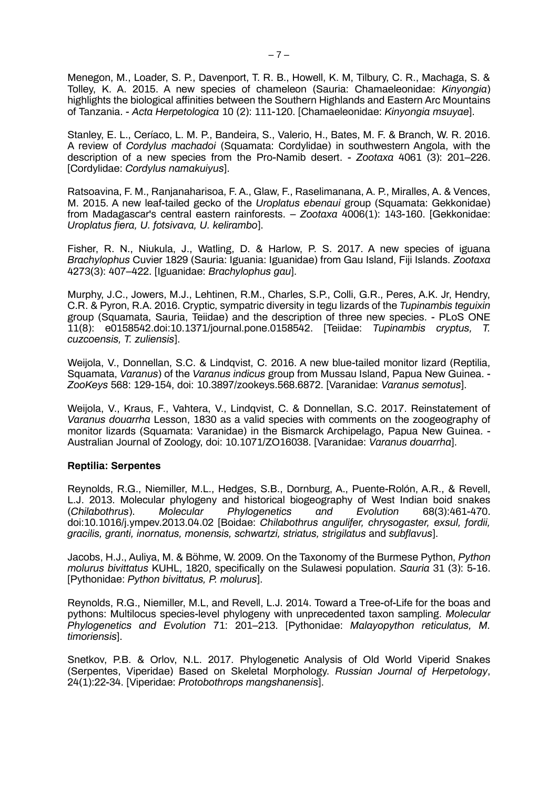Menegon, M., Loader, S. P., Davenport, T. R. B., Howell, K. M, Tilbury, C. R., Machaga, S. & Tolley, K. A. 2015. A new species of chameleon (Sauria: Chamaeleonidae: *Kinyongia*) highlights the biological affinities between the Southern Highlands and Eastern Arc Mountains of Tanzania. - *Acta Herpetologica* 10 (2): 111-120. [Chamaeleonidae: *Kinyongia msuyae*].

Stanley, E. L., Ceríaco, L. M. P., Bandeira, S., Valerio, H., Bates, M. F. & Branch, W. R. 2016. A review of *Cordylus machadoi* (Squamata: Cordylidae) in southwestern Angola, with the description of a new species from the Pro-Namib desert. - *Zootaxa* 4061 (3): 201–226. [Cordylidae: *Cordylus namakuiyus*].

Ratsoavina, F. M., Ranjanaharisoa, F. A., Glaw, F., Raselimanana, A. P., Miralles, A. & Vences, M. 2015. A new leaf-tailed gecko of the *Uroplatus ebenaui* group (Squamata: Gekkonidae) from Madagascar's central eastern rainforests. – *Zootaxa* 4006(1): 143-160. [Gekkonidae: *Uroplatus fiera, U. fotsivava, U. kelirambo*].

Fisher, R. N., Niukula, J., Watling, D. & Harlow, P. S. 2017. A new species of iguana *Brachylophus* Cuvier 1829 (Sauria: Iguania: Iguanidae) from Gau Island, Fiji Islands. *Zootaxa* 4273(3): 407–422. [Iguanidae: *Brachylophus gau*].

Murphy, J.C., Jowers, M.J., Lehtinen, R.M., Charles, S.P., Colli, G.R., Peres, A.K. Jr, Hendry, C.R. & Pyron, R.A. 2016. Cryptic, sympatric diversity in tegu lizards of the *Tupinambis teguixin* group (Squamata, Sauria, Teiidae) and the description of three new species. - PLoS ONE 11(8): e0158542.doi:10.1371/journal.pone.0158542. [Teiidae: *Tupinambis cryptus, T. cuzcoensis, T. zuliensis*].

Weijola, V., Donnellan, S.C. & Lindqvist, C. 2016. A new blue-tailed monitor lizard (Reptilia, Squamata, *Varanus*) of the *Varanus indicus* group from Mussau Island, Papua New Guinea. - *ZooKeys* 568: 129-154, doi: 10.3897/zookeys.568.6872. [Varanidae: *Varanus semotus*].

Weijola, V., Kraus, F., Vahtera, V., Lindqvist, C. & Donnellan, S.C. 2017. Reinstatement of *Varanus douarrha* Lesson, 1830 as a valid species with comments on the zoogeography of monitor lizards (Squamata: Varanidae) in the Bismarck Archipelago, Papua New Guinea. - Australian Journal of Zoology, doi: 10.1071/ZO16038. [Varanidae: *Varanus douarrha*].

## **Reptilia: Serpentes**

Reynolds, R.G., Niemiller, M.L., Hedges, S.B., Dornburg, A., Puente-Rolón, A.R., & Revell, L.J. 2013. Molecular phylogeny and historical biogeography of West Indian boid snakes (*Chilabothrus*). *Molecular Phylogenetics and Evolution* 68(3):461-470. doi:10.1016/j.ympev.2013.04.02 [Boidae: *Chilabothrus angulifer, chrysogaster, exsul, fordii, gracilis, granti, inornatus, monensis, schwartzi, striatus, strigilatus* and *subflavus*].

Jacobs, H.J., Auliya, M. & Böhme, W. 2009. On the Taxonomy of the Burmese Python, *Python molurus bivittatus* KUHL, 1820, specifically on the Sulawesi population. *Sauria* 31 (3): 5-16. [Pythonidae: *Python bivittatus, P. molurus*].

Reynolds, R.G., Niemiller, M.L, and Revell, L.J. 2014. Toward a Tree-of-Life for the boas and pythons: Multilocus species-level phylogeny with unprecedented taxon sampling. *Molecular Phylogenetics and Evolution* 71: 201–213. [Pythonidae: *Malayopython reticulatus, M. timoriensis*].

Snetkov, P.B. & Orlov, N.L. 2017. Phylogenetic Analysis of Old World Viperid Snakes (Serpentes, Viperidae) Based on Skeletal Morphology. *Russian Journal of Herpetology*, 24(1):22-34. [Viperidae: *Protobothrops mangshanensis*].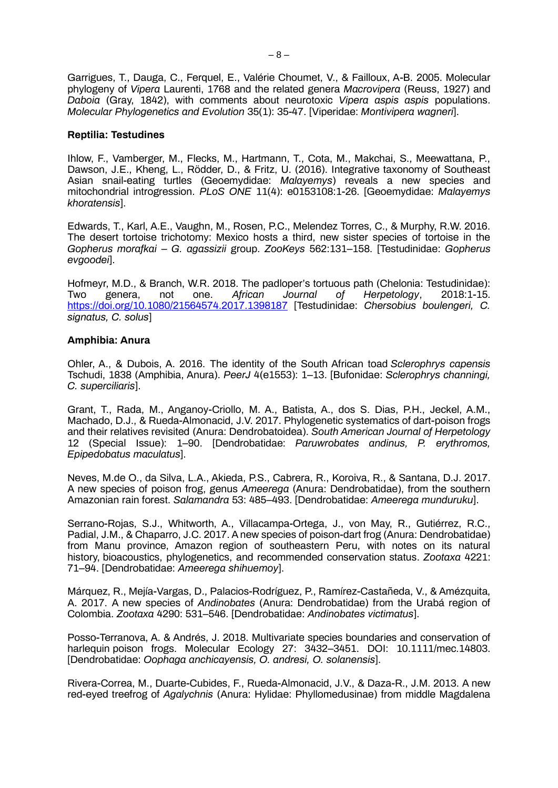Garrigues, T., Dauga, C., Ferquel, E., Valérie Choumet, V., & Failloux, A-B. 2005. Molecular phylogeny of *Vipera* Laurenti, 1768 and the related genera *Macrovipera* (Reuss, 1927) and *Daboia* (Gray, 1842), with comments about neurotoxic *Vipera aspis aspis* populations. *Molecular Phylogenetics and Evolution* 35(1): 35-47. [Viperidae: *Montivipera wagneri*].

## **Reptilia: Testudines**

Ihlow, F., Vamberger, M., Flecks, M., Hartmann, T., Cota, M., Makchai, S., Meewattana, P., Dawson, J.E., Kheng, L., Rödder, D., & Fritz, U. (2016). Integrative taxonomy of Southeast Asian snail-eating turtles (Geoemydidae: *Malayemys*) reveals a new species and mitochondrial introgression. *PLoS ONE* 11(4): e0153108:1-26. [Geoemydidae: *Malayemys khoratensis*].

Edwards, T., Karl, A.E., Vaughn, M., Rosen, P.C., Melendez Torres, C., & Murphy, R.W. 2016. The desert tortoise trichotomy: Mexico hosts a third, new sister species of tortoise in the *Gopherus morafkai – G. agassizii* group. *ZooKeys* 562:131–158. [Testudinidae: *Gopherus evgoodei*].

Hofmeyr, M.D., & Branch, W.R. 2018. The padloper's tortuous path (Chelonia: Testudinidae):<br>Two genera, not one. African Journal of Herpetology, 2018:1-15. Two genera, not one. *African Journal of Herpetology*, 2018:1-15. <https://doi.org/10.1080/21564574.2017.1398187> [Testudinidae: *Chersobius boulengeri, C. signatus, C. solus*]

## **Amphibia: Anura**

Ohler, A., & Dubois, A. 2016. The identity of the South African toad *Sclerophrys capensis* Tschudi, 1838 (Amphibia, Anura). *PeerJ* 4(e1553): 1–13. [Bufonidae: *Sclerophrys channingi, C. superciliaris*].

Grant, T., Rada, M., Anganoy-Criollo, M. A., Batista, A., dos S. Dias, P.H., Jeckel, A.M., Machado, D.J., & Rueda-Almonacid, J.V. 2017. Phylogenetic systematics of dart-poison frogs and their relatives revisited (Anura: Dendrobatoidea). *South American Journal of Herpetology* 12 (Special Issue): 1–90. [Dendrobatidae: *Paruwrobates andinus, P. erythromos, Epipedobatus maculatus*].

Neves, M.de O., da Silva, L.A., Akieda, P.S., Cabrera, R., Koroiva, R., & Santana, D.J. 2017. A new species of poison frog, genus *Ameerega* (Anura: Dendrobatidae), from the southern Amazonian rain forest. *Salamandra* 53: 485–493. [Dendrobatidae: *Ameerega munduruku*].

Serrano-Rojas, S.J., Whitworth, A., Villacampa-Ortega, J., von May, R., Gutiérrez, R.C., Padial, J.M., & Chaparro, J.C. 2017. A new species of poison-dart frog (Anura: Dendrobatidae) from Manu province, Amazon region of southeastern Peru, with notes on its natural history, bioacoustics, phylogenetics, and recommended conservation status. *Zootaxa* 4221: 71–94. [Dendrobatidae: *Ameerega shihuemoy*].

Márquez, R., Mejía-Vargas, D., Palacios-Rodríguez, P., Ramírez-Castañeda, V., & Amézquita, A. 2017. A new species of *Andinobates* (Anura: Dendrobatidae) from the Urabá region of Colombia. *Zootaxa* 4290: 531–546. [Dendrobatidae: *Andinobates victimatus*].

Posso-Terranova, A. & Andrés, J. 2018. Multivariate species boundaries and conservation of harlequin poison frogs. Molecular Ecology 27: 3432–3451. DOI: 10.1111/mec.14803. [Dendrobatidae: *Oophaga anchicayensis, O. andresi, O. solanensis*].

Rivera-Correa, M., Duarte-Cubides, F., Rueda-Almonacid, J.V., & Daza-R., J.M. 2013. A new red-eyed treefrog of *Agalychnis* (Anura: Hylidae: Phyllomedusinae) from middle Magdalena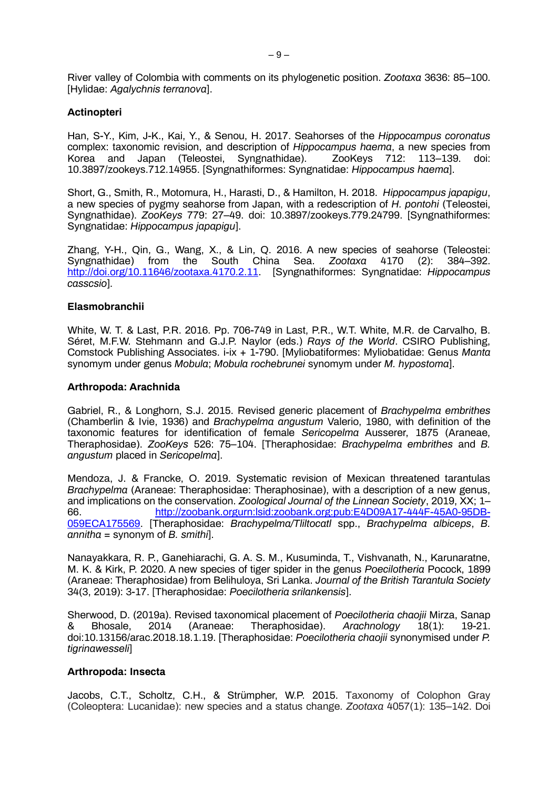River valley of Colombia with comments on its phylogenetic position. *Zootaxa* 3636: 85–100. [Hylidae: *Agalychnis terranova*].

## **Actinopteri**

Han, S-Y., Kim, J-K., Kai, Y., & Senou, H. 2017. Seahorses of the *Hippocampus coronatus*  complex: taxonomic revision, and description of *Hippocampus haema*, a new species from Japan (Teleostei, 10.3897/zookeys.712.14955. [Syngnathiformes: Syngnatidae: *Hippocampus haema*].

Short, G., Smith, R., Motomura, H., Harasti, D., & Hamilton, H. 2018. *Hippocampus japapigu*, a new species of pygmy seahorse from Japan, with a redescription of *H. pontohi* (Teleostei, Syngnathidae). *ZooKeys* 779: 27–49. doi: 10.3897/zookeys.779.24799. [Syngnathiformes: Syngnatidae: *Hippocampus japapigu*].

Zhang, Y-H., Qin, G., Wang, X., & Lin, Q. 2016. A new species of seahorse (Teleostei: Syngnathidae) from the South China Sea. *Zootaxa* 4170 [http://doi.org/10.11646/zootaxa.4170.2.11.](http://doi.org/10.11646/zootaxa.4170.2.11) [Syngnathiformes: Syngnatidae: *Hippocampus casscsio*].

## **Elasmobranchii**

White, W. T. & Last, P.R. 2016. Pp. 706-749 in Last, P.R., W.T. White, M.R. de Carvalho, B. Séret, M.F.W. Stehmann and G.J.P. Naylor (eds.) *Rays of the World*. CSIRO Publishing, Comstock Publishing Associates. i-ix + 1-790. [Myliobatiformes: Myliobatidae: Genus *Manta* synomym under genus *Mobula*; *Mobula rochebrunei* synomym under *M. hypostoma*].

#### **Arthropoda: Arachnida**

Gabriel, R., & Longhorn, S.J. 2015. Revised generic placement of *Brachypelma embrithes* (Chamberlin & Ivie, 1936) and *Brachypelma angustum* Valerio, 1980, with definition of the taxonomic features for identification of female *Sericopelma* Ausserer, 1875 (Araneae, Theraphosidae). *ZooKeys* 526: 75–104. [Theraphosidae: *Brachypelma embrithes* and *B. angustum* placed in *Sericopelma*].

Mendoza, J. & Francke, O. 2019. Systematic revision of Mexican threatened tarantulas *Brachypelma* (Araneae: Theraphosidae: Theraphosinae), with a description of a new genus, and implications on the conservation. *Zoological Journal of the Linnean Society*, 2019, XX; 1– 66. http://zoobank.orgurn:lsid:zoobank.org:pub:E4D09A17-444F-45A0-95DB-059ECA175569. [Theraphosidae: *Brachypelma/Tliltocatl* spp., *Brachypelma albiceps*, *B. annitha* = synonym of *B. smithi*].

Nanayakkara, R. P., Ganehiarachi, G. A. S. M., Kusuminda, T., Vishvanath, N., Karunaratne, M. K. & Kirk, P. 2020. A new species of tiger spider in the genus *Poecilotheria* Pocock, 1899 (Araneae: Theraphosidae) from Belihuloya, Sri Lanka. *Journal of the British Tarantula Society* 34(3, 2019): 3-17. [Theraphosidae: *Poecilotheria srilankensis*].

Sherwood, D. (2019a). Revised taxonomical placement of *Poecilotheria chaojii* Mirza, Sanap & Bhosale, 2014 (Araneae: Theraphosidae). *Arachnology* 18(1): 19-21. doi:10.13156/arac.2018.18.1.19. [Theraphosidae: *Poecilotheria chaojii* synonymised under *P. tigrinawesseli*]

## **Arthropoda: Insecta**

Jacobs, C.T., Scholtz, C.H., & Strümpher, W.P. 2015. Taxonomy of Colophon Gray (Coleoptera: Lucanidae): new species and a status change. *Zootaxa* 4057(1): 135–142. Doi